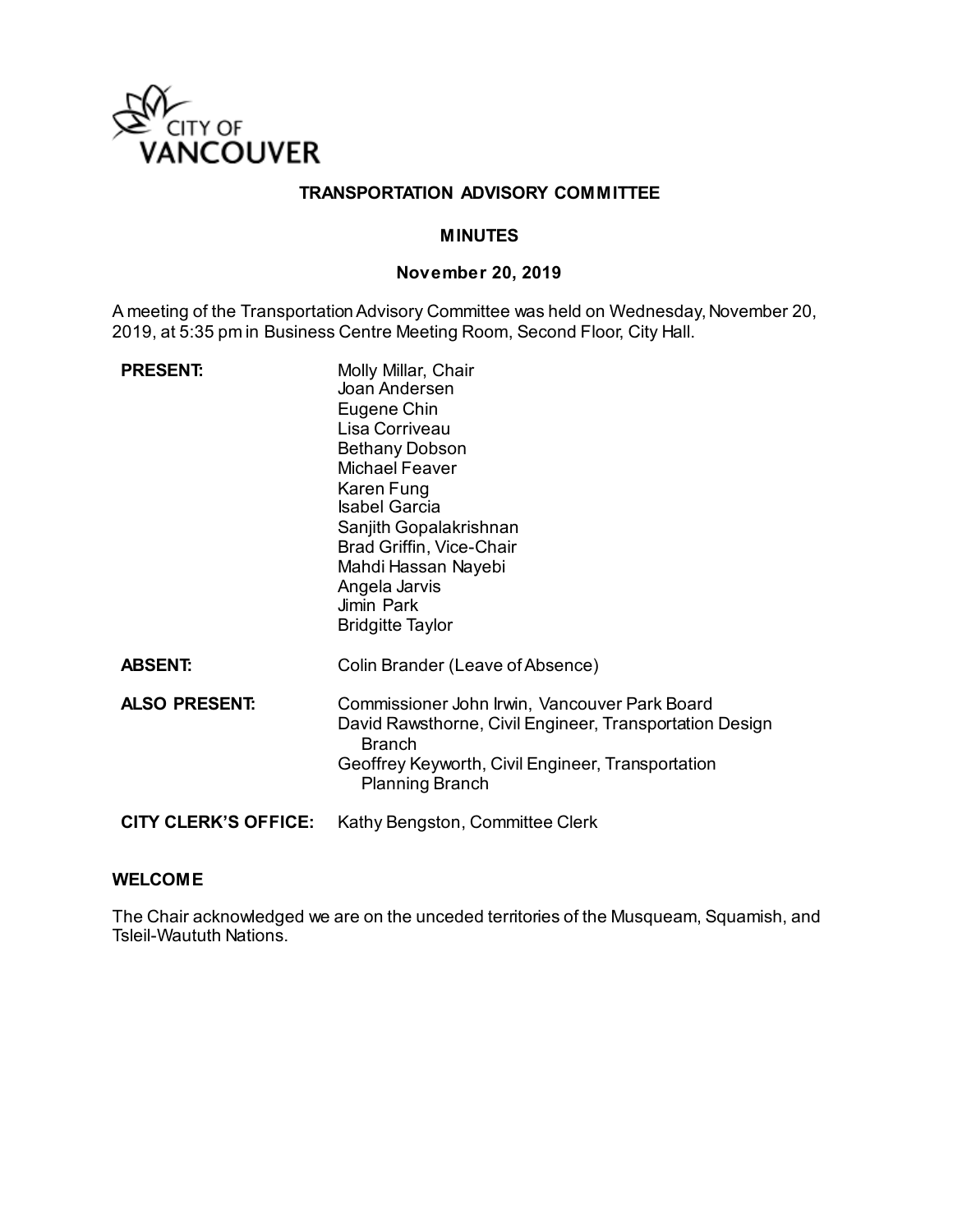

### **TRANSPORTATION ADVISORY COMMITTEE**

### **MINUTES**

## **November 20, 2019**

A meeting of the Transportation Advisory Committee was held on Wednesday, November 20, 2019, at 5:35 pm in Business Centre Meeting Room, Second Floor, City Hall.

| <b>PRESENT:</b>      | Molly Millar, Chair<br>Joan Andersen<br>Eugene Chin<br>Lisa Corriveau<br><b>Bethany Dobson</b><br><b>Michael Feaver</b><br>Karen Fung<br><b>Isabel Garcia</b><br>Sanjith Gopalakrishnan<br>Brad Griffin, Vice-Chair<br>Mahdi Hassan Nayebi<br>Angela Jarvis<br>Jimin Park<br><b>Bridgitte Taylor</b> |
|----------------------|------------------------------------------------------------------------------------------------------------------------------------------------------------------------------------------------------------------------------------------------------------------------------------------------------|
| <b>ABSENT:</b>       | Colin Brander (Leave of Absence)                                                                                                                                                                                                                                                                     |
| <b>ALSO PRESENT:</b> | Commissioner John Irwin, Vancouver Park Board<br>David Rawsthorne, Civil Engineer, Transportation Design<br><b>Branch</b><br>Geoffrey Keyworth, Civil Engineer, Transportation<br><b>Planning Branch</b>                                                                                             |
| CITY CLERK'S OFFICE: | Kathy Bengston, Committee Clerk                                                                                                                                                                                                                                                                      |

#### **WELCOME**

The Chair acknowledged we are on the unceded territories of the Musqueam, Squamish, and Tsleil-Waututh Nations.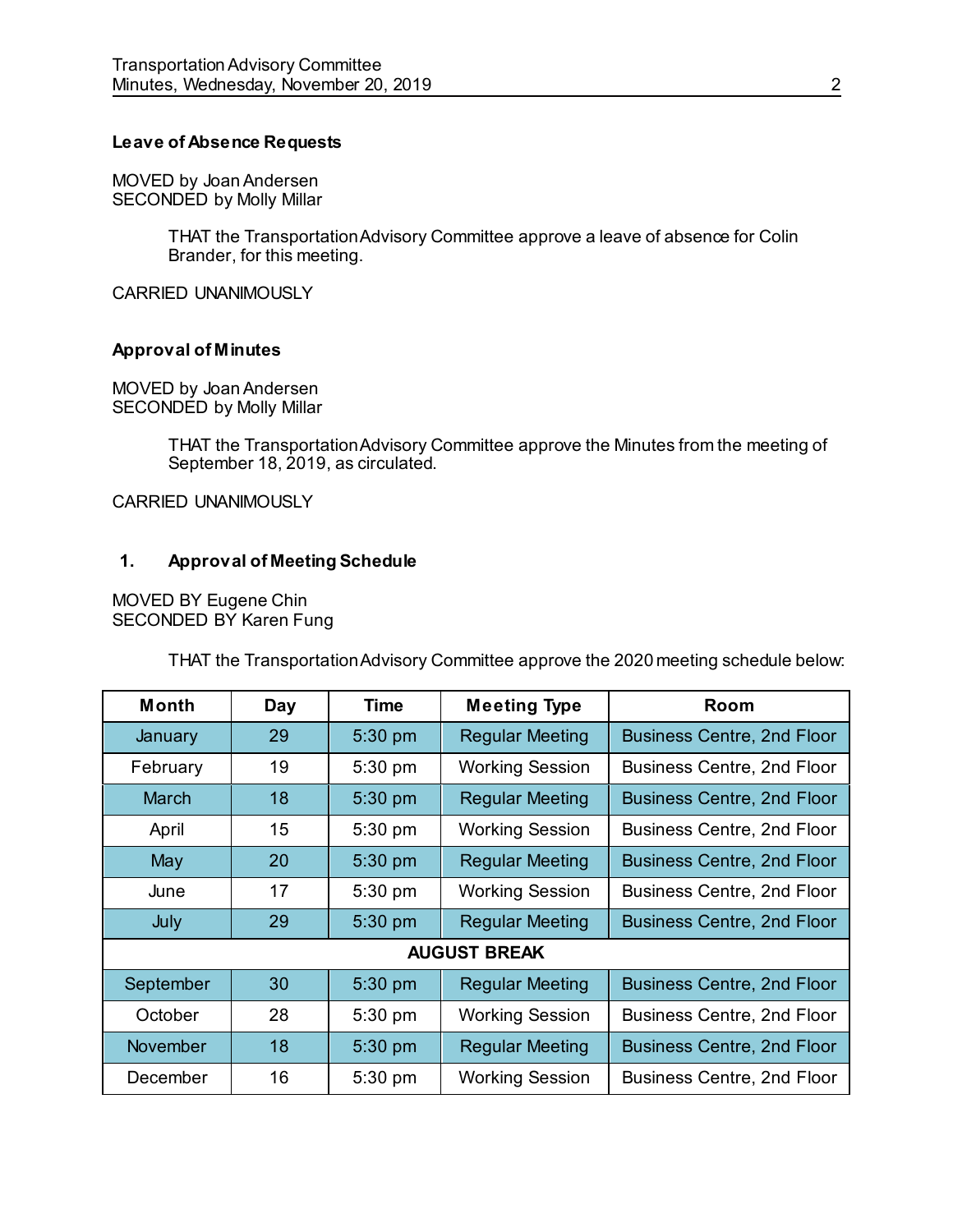#### **Leave of Absence Requests**

MOVED by JoanAndersen SECONDED by Molly Millar

> THAT the Transportation Advisory Committee approve a leave of absence for Colin Brander, for this meeting.

CARRIED UNANIMOUSLY

### **Approval of Minutes**

MOVED by JoanAndersen SECONDED by Molly Millar

> THAT the Transportation Advisory Committee approve the Minutes from the meeting of September 18, 2019, as circulated.

CARRIED UNANIMOUSLY

#### **1. Approval of Meeting Schedule**

MOVED BY Eugene Chin SECONDED BY Karen Fung

THAT the Transportation Advisory Committee approve the 2020 meeting schedule below:

| Month               | Day | <b>Time</b> | <b>Meeting Type</b>    | Room                              |  |
|---------------------|-----|-------------|------------------------|-----------------------------------|--|
| January             | 29  | $5:30$ pm   | <b>Regular Meeting</b> | <b>Business Centre, 2nd Floor</b> |  |
| February            | 19  | 5:30 pm     | <b>Working Session</b> | <b>Business Centre, 2nd Floor</b> |  |
| March               | 18  | 5:30 pm     | <b>Regular Meeting</b> | <b>Business Centre, 2nd Floor</b> |  |
| April               | 15  | 5:30 pm     | <b>Working Session</b> | <b>Business Centre, 2nd Floor</b> |  |
| May                 | 20  | 5:30 pm     | <b>Regular Meeting</b> | <b>Business Centre, 2nd Floor</b> |  |
| June                | 17  | 5:30 pm     | <b>Working Session</b> | <b>Business Centre, 2nd Floor</b> |  |
| July                | 29  | 5:30 pm     | <b>Regular Meeting</b> | <b>Business Centre, 2nd Floor</b> |  |
| <b>AUGUST BREAK</b> |     |             |                        |                                   |  |
| September           | 30  | 5:30 pm     | <b>Regular Meeting</b> | <b>Business Centre, 2nd Floor</b> |  |
| October             | 28  | 5:30 pm     | <b>Working Session</b> | <b>Business Centre, 2nd Floor</b> |  |
| <b>November</b>     | 18  | 5:30 pm     | <b>Regular Meeting</b> | <b>Business Centre, 2nd Floor</b> |  |
| December            | 16  | 5:30 pm     | <b>Working Session</b> | <b>Business Centre, 2nd Floor</b> |  |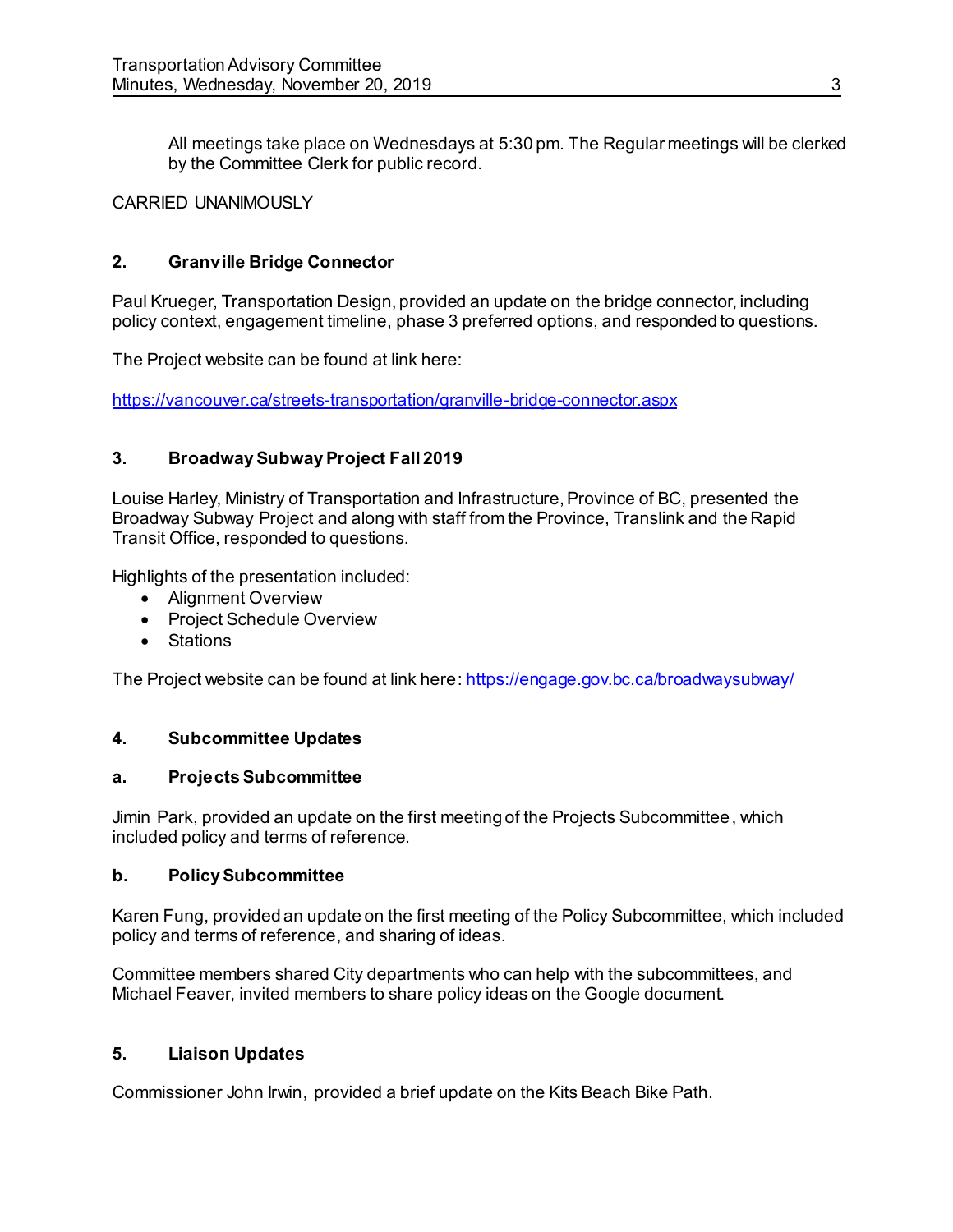All meetings take place on Wednesdays at 5:30 pm. The Regular meetings will be clerked by the Committee Clerk for public record.

CARRIED UNANIMOUSLY

# **2. Granville Bridge Connector**

Paul Krueger, Transportation Design, provided an update on the bridge connector, including policy context, engagement timeline, phase 3 preferred options, and responded to questions.

The Project website can be found at link here:

<https://vancouver.ca/streets-transportation/granville-bridge-connector.aspx>

# **3. Broadway Subway Project Fall 2019**

Louise Harley, Ministry of Transportation and Infrastructure, Province of BC, presented the Broadway Subway Project and along with staff from the Province, Translink and the Rapid Transit Office, responded to questions.

Highlights of the presentation included:

- Alignment Overview
- Project Schedule Overview
- Stations

The Project website can be found at link here[: https://engage.gov.bc.ca/broadwaysubway/](https://engage.gov.bc.ca/broadwaysubway/)

# **4. Subcommittee Updates**

### **a. Projects Subcommittee**

Jimin Park, provided an update on the first meeting of the Projects Subcommittee, which included policy and terms of reference.

### **b. Policy Subcommittee**

Karen Fung, provided an update on the first meeting of the Policy Subcommittee, which included policy and terms of reference, and sharing of ideas.

Committee members shared City departments who can help with the subcommittees, and Michael Feaver, invited members to share policy ideas on the Google document.

# **5. Liaison Updates**

Commissioner John Irwin, provided a brief update on the Kits Beach Bike Path.